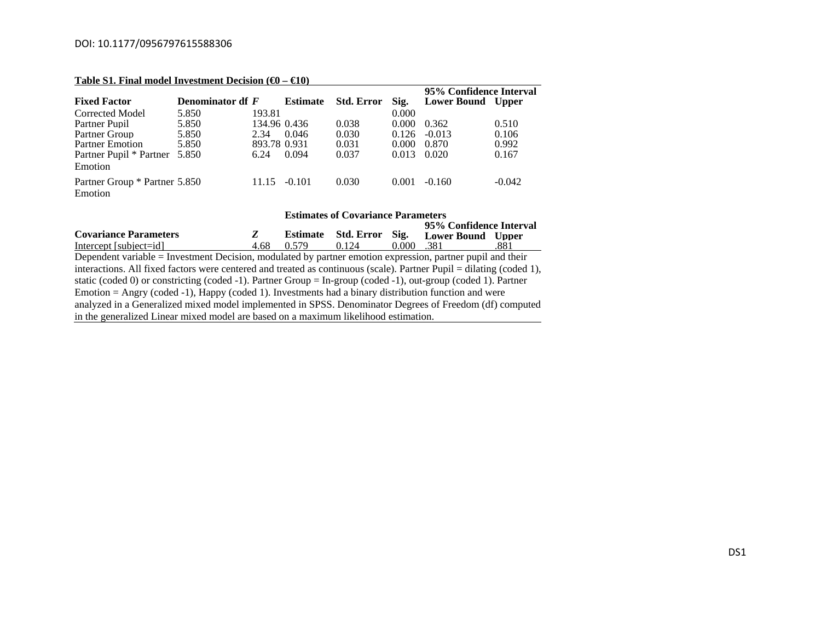### DOI: 10.1177/0956797615588306

| Table 51. Final model investment Decision ( $\omega - \alpha v$ ) |                  |              |                 |                   |       |                         |          |  |  |  |
|-------------------------------------------------------------------|------------------|--------------|-----------------|-------------------|-------|-------------------------|----------|--|--|--|
|                                                                   |                  |              |                 |                   |       | 95% Confidence Interval |          |  |  |  |
| <b>Fixed Factor</b>                                               | Denominator df F |              | <b>Estimate</b> | <b>Std. Error</b> | Sig.  | Lower Bound Upper       |          |  |  |  |
| Corrected Model                                                   | 5.850            | 193.81       |                 |                   | 0.000 |                         |          |  |  |  |
| Partner Pupil                                                     | 5.850            | 134.96 0.436 |                 | 0.038             | 0.000 | 0.362                   | 0.510    |  |  |  |
| Partner Group                                                     | 5.850            | 2.34         | 0.046           | 0.030             | 0.126 | $-0.013$                | 0.106    |  |  |  |
| <b>Partner Emotion</b>                                            | 5.850            | 893.78 0.931 |                 | 0.031             | 0.000 | 0.870                   | 0.992    |  |  |  |
| Partner Pupil * Partner                                           | 5.850            | 6.24         | 0.094           | 0.037             | 0.013 | 0.020                   | 0.167    |  |  |  |
| Emotion                                                           |                  |              |                 |                   |       |                         |          |  |  |  |
| Partner Group * Partner 5.850                                     |                  | 11.15        | $-0.101$        | 0.030             | 0.001 | $-0.160$                | $-0.042$ |  |  |  |
| Emotion                                                           |                  |              |                 |                   |       |                         |          |  |  |  |

#### **Table S1. Final model Investment Decision (€0 – €10)**

#### **Estimates of Covariance Parameters 95% Confidence IntervalCovariance Parameters** *Z* **Estimate Std. Error Sig. Sig.** Lower Bound Upper 0.000 .381  $Intercept [subject=id]$   $4.68$   $0.579$   $0.124$ Dependent variable = Investment Decision, modulated by partner emotion expression, partner pupil and their interactions. All fixed factors were centered and treated as continuous (scale). Partner Pupil = dilating (coded 1), static (coded 0) or constricting (coded -1). Partner Group = In-group (coded -1), out-group (coded 1). Partner Emotion = Angry (coded -1), Happy (coded 1). Investments had a binary distribution function and were analyzed in a Generalized mixed model implemented in SPSS. Denominator Degrees of Freedom (df) computed in the generalized Linear mixed model are based on a maximum likelihood estimation.

DS1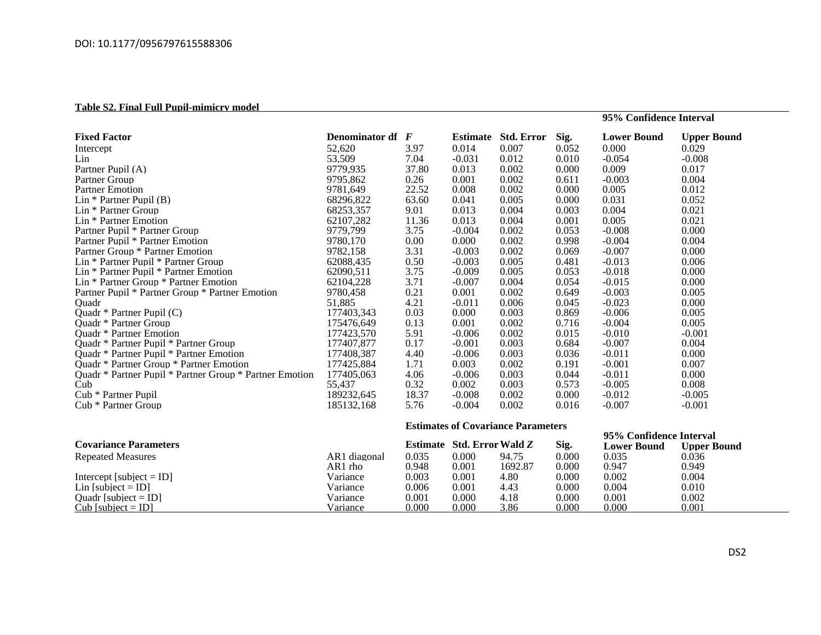# **Table S2. Final Full Pupil-mimicry model**

| <b>Fixed Factor</b>                                     | Denominator df F |                                           | Estimate | <b>Std. Error</b> | Sig.                    | <b>Lower Bound</b> | <b>Upper Bound</b> |  |
|---------------------------------------------------------|------------------|-------------------------------------------|----------|-------------------|-------------------------|--------------------|--------------------|--|
| Intercept                                               | 52,620           | 3.97                                      | 0.014    | 0.007             | 0.052                   | 0.000              | 0.029              |  |
| Lin                                                     | 53,509           | 7.04                                      | $-0.031$ | 0.012             | 0.010                   | $-0.054$           | $-0.008$           |  |
| Partner Pupil (A)                                       | 9779,935         | 37.80                                     | 0.013    | 0.002             | 0.000                   | 0.009              | 0.017              |  |
| Partner Group                                           | 9795.862         | 0.26                                      | 0.001    | 0.002             | 0.611                   | $-0.003$           | 0.004              |  |
| <b>Partner Emotion</b>                                  | 9781.649         | 22.52                                     | 0.008    | 0.002             | 0.000                   | 0.005              | 0.012              |  |
| Lin $*$ Partner Pupil (B)                               | 68296,822        | 63.60                                     | 0.041    | 0.005             | 0.000                   | 0.031              | 0.052              |  |
| Lin * Partner Group                                     | 68253,357        | 9.01                                      | 0.013    | 0.004             | 0.003                   | 0.004              | 0.021              |  |
| Lin * Partner Emotion                                   | 62107.282        | 11.36                                     | 0.013    | 0.004             | 0.001                   | 0.005              | 0.021              |  |
| Partner Pupil * Partner Group                           | 9779,799         | 3.75                                      | $-0.004$ | 0.002             | 0.053                   | $-0.008$           | 0.000              |  |
| Partner Pupil * Partner Emotion                         | 9780.170         | 0.00                                      | 0.000    | 0.002             | 0.998                   | $-0.004$           | 0.004              |  |
| Partner Group * Partner Emotion                         | 9782,158         | 3.31                                      | $-0.003$ | 0.002             | 0.069                   | $-0.007$           | 0.000              |  |
| Lin * Partner Pupil * Partner Group                     | 62088,435        | 0.50                                      | $-0.003$ | 0.005             | 0.481                   | $-0.013$           | 0.006              |  |
| Lin * Partner Pupil * Partner Emotion                   | 62090.511        | 3.75                                      | $-0.009$ | 0.005             | 0.053                   | $-0.018$           | 0.000              |  |
| Lin * Partner Group * Partner Emotion                   | 62104,228        | 3.71                                      | $-0.007$ | 0.004             | 0.054                   | $-0.015$           | 0.000              |  |
| Partner Pupil * Partner Group * Partner Emotion         | 9780,458         | 0.21                                      | 0.001    | 0.002             | 0.649                   | $-0.003$           | 0.005              |  |
| Ouadr                                                   | 51,885           | 4.21                                      | $-0.011$ | 0.006             | 0.045                   | $-0.023$           | 0.000              |  |
| Ouadr * Partner Pupil (C)                               | 177403,343       | 0.03                                      | 0.000    | 0.003             | 0.869                   | $-0.006$           | 0.005              |  |
| <b>Ouadr</b> * Partner Group                            | 175476,649       | 0.13                                      | 0.001    | 0.002             | 0.716                   | $-0.004$           | 0.005              |  |
| Quadr * Partner Emotion                                 | 177423,570       | 5.91                                      | $-0.006$ | 0.002             | 0.015                   | $-0.010$           | $-0.001$           |  |
| Ouadr * Partner Pupil * Partner Group                   | 177407.877       | 0.17                                      | $-0.001$ | 0.003             | 0.684                   | $-0.007$           | 0.004              |  |
| Quadr * Partner Pupil * Partner Emotion                 | 177408,387       | 4.40                                      | $-0.006$ | 0.003             | 0.036                   | $-0.011$           | 0.000              |  |
| Quadr * Partner Group * Partner Emotion                 | 177425,884       | 1.71                                      | 0.003    | 0.002             | 0.191                   | $-0.001$           | 0.007              |  |
| Quadr * Partner Pupil * Partner Group * Partner Emotion | 177405,063       | 4.06                                      | $-0.006$ | 0.003             | 0.044                   | $-0.011$           | 0.000              |  |
| Cub                                                     | 55,437           | 0.32                                      | 0.002    | 0.003             | 0.573                   | $-0.005$           | 0.008              |  |
| Cub * Partner Pupil                                     | 189232,645       | 18.37                                     | $-0.008$ | 0.002             | 0.000                   | $-0.012$           | $-0.005$           |  |
| Cub * Partner Group                                     | 185132,168       | 5.76                                      | $-0.004$ | 0.002             | 0.016                   | $-0.007$           | $-0.001$           |  |
|                                                         |                  |                                           |          |                   |                         |                    |                    |  |
|                                                         |                  | <b>Estimates of Covariance Parameters</b> |          |                   |                         |                    |                    |  |
|                                                         |                  | Estimate Std. Error Wald Z                |          |                   | 95% Confidence Interval |                    |                    |  |
| <b>Covariance Parameters</b>                            |                  |                                           |          |                   | Sig.                    | <b>Lower Bound</b> | <b>Upper Bound</b> |  |
| <b>Repeated Measures</b>                                | AR1 diagonal     | 0.035                                     | 0.000    | 94.75             | 0.000                   | 0.035              | 0.036              |  |
|                                                         | AR1 rho          | 0.948                                     | 0.001    | 1692.87           | 0.000                   | 0.947              | 0.949              |  |
| Intercept [subject = ID]                                | Variance         | 0.003                                     | 0.001    | 4.80              | 0.000                   | 0.002              | 0.004              |  |
| Lin [subject = ID]                                      | Variance         | 0.006                                     | 0.001    | 4.43              | 0.000                   | 0.004              | 0.010              |  |
| Quadr [subject = $ID$ ]                                 | Variance         | 0.001                                     | 0.000    | 4.18              | 0.000                   | 0.001              | 0.002              |  |
| Cub [subject = $ID$ ]                                   | Variance         | 0.000                                     | 0.000    | 3.86              | 0.000                   | 0.000              | 0.001              |  |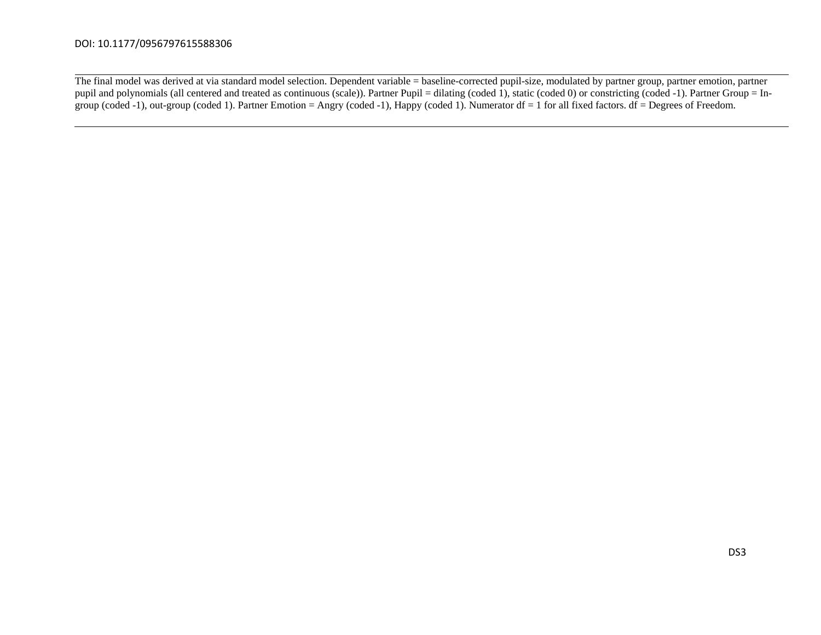# DOI: 10.1177/0956797615588306

The final model was derived at via standard model selection. Dependent variable = baseline-corrected pupil-size, modulated by partner group, partner emotion, partner pupil and polynomials (all centered and treated as continuous (scale)). Partner Pupil = dilating (coded 1), static (coded 0) or constricting (coded -1). Partner Group = Ingroup (coded -1), out-group (coded 1). Partner Emotion = Angry (coded -1), Happy (coded 1). Numerator df = 1 for all fixed factors. df = Degrees of Freedom.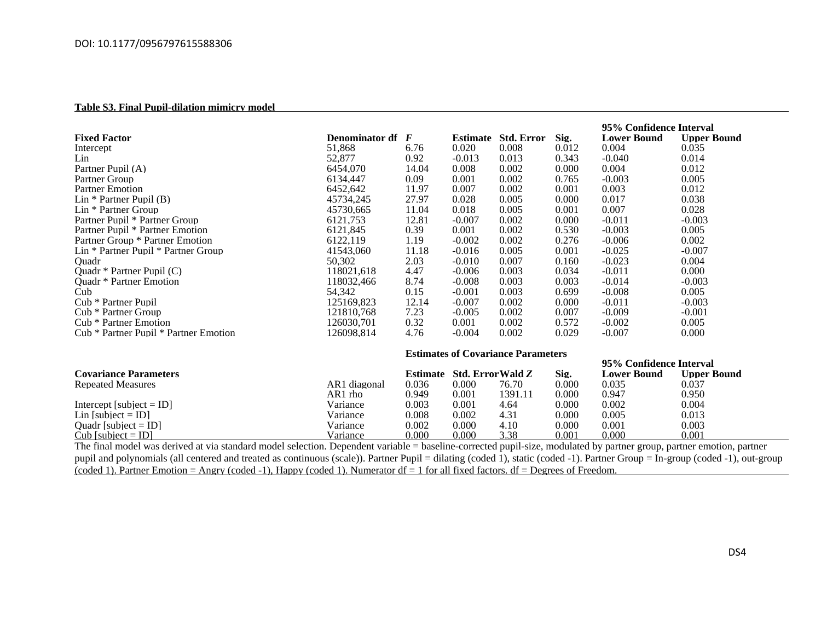# **Table S3. Final Pupil-dilation mimicry model**

|                                                                                                                                                                      |                         | 95% Confidence Interval                   |                            |                            |       |                    |                    |  |  |
|----------------------------------------------------------------------------------------------------------------------------------------------------------------------|-------------------------|-------------------------------------------|----------------------------|----------------------------|-------|--------------------|--------------------|--|--|
| <b>Fixed Factor</b>                                                                                                                                                  | <b>Denominator df</b> F |                                           |                            | <b>Estimate Std. Error</b> | Sig.  | <b>Lower Bound</b> | <b>Upper Bound</b> |  |  |
| Intercept                                                                                                                                                            | 51.868                  | 6.76                                      | 0.020                      | 0.008                      | 0.012 | 0.004              | 0.035              |  |  |
| Lin                                                                                                                                                                  | 52,877                  | 0.92                                      | $-0.013$                   | 0.013                      | 0.343 | $-0.040$           | 0.014              |  |  |
| Partner Pupil (A)                                                                                                                                                    | 6454,070                | 14.04                                     | 0.008                      | 0.002                      | 0.000 | 0.004              | 0.012              |  |  |
| Partner Group                                                                                                                                                        | 6134,447                | 0.09                                      | 0.001                      | 0.002                      | 0.765 | $-0.003$           | 0.005              |  |  |
| <b>Partner Emotion</b>                                                                                                                                               | 6452.642                | 11.97                                     | 0.007                      | 0.002                      | 0.001 | 0.003              | 0.012              |  |  |
| $Lin * Partner P$                                                                                                                                                    | 45734.245               | 27.97                                     | 0.028                      | 0.005                      | 0.000 | 0.017              | 0.038              |  |  |
| Lin * Partner Group                                                                                                                                                  | 45730,665               | 11.04                                     | 0.018                      | 0.005                      | 0.001 | 0.007              | 0.028              |  |  |
| Partner Pupil * Partner Group                                                                                                                                        | 6121.753                | 12.81                                     | $-0.007$                   | 0.002                      | 0.000 | $-0.011$           | $-0.003$           |  |  |
| Partner Pupil * Partner Emotion                                                                                                                                      | 6121,845                | 0.39                                      | 0.001                      | 0.002                      | 0.530 | $-0.003$           | 0.005              |  |  |
| Partner Group * Partner Emotion                                                                                                                                      | 6122.119                | 1.19                                      | $-0.002$                   | 0.002                      | 0.276 | $-0.006$           | 0.002              |  |  |
| Lin * Partner Pupil * Partner Group                                                                                                                                  | 41543,060               | 11.18                                     | $-0.016$                   | 0.005                      | 0.001 | $-0.025$           | $-0.007$           |  |  |
| Ouadr                                                                                                                                                                | 50,302                  | 2.03                                      | $-0.010$                   | 0.007                      | 0.160 | $-0.023$           | 0.004              |  |  |
| Ouadr $*$ Partner Pupil $(C)$                                                                                                                                        | 118021,618              | 4.47                                      | $-0.006$                   | 0.003                      | 0.034 | $-0.011$           | 0.000              |  |  |
| Quadr * Partner Emotion                                                                                                                                              | 118032.466              | 8.74                                      | $-0.008$                   | 0.003                      | 0.003 | $-0.014$           | $-0.003$           |  |  |
| Cub                                                                                                                                                                  | 54,342                  | 0.15                                      | $-0.001$                   | 0.003                      | 0.699 | $-0.008$           | 0.005              |  |  |
| Cub * Partner Pupil                                                                                                                                                  | 125169,823              | 12.14                                     | $-0.007$                   | 0.002                      | 0.000 | $-0.011$           | $-0.003$           |  |  |
| Cub * Partner Group                                                                                                                                                  | 121810,768              | 7.23                                      | $-0.005$                   | 0.002                      | 0.007 | $-0.009$           | $-0.001$           |  |  |
| Cub * Partner Emotion                                                                                                                                                | 126030.701              | 0.32                                      | 0.001                      | 0.002                      | 0.572 | $-0.002$           | 0.005              |  |  |
| Cub * Partner Pupil * Partner Emotion                                                                                                                                | 126098.814              | 4.76                                      | $-0.004$                   | 0.002                      | 0.029 | $-0.007$           | 0.000              |  |  |
|                                                                                                                                                                      |                         | <b>Estimates of Covariance Parameters</b> |                            |                            |       |                    |                    |  |  |
|                                                                                                                                                                      |                         | 95% Confidence Interval                   |                            |                            |       |                    |                    |  |  |
| <b>Covariance Parameters</b>                                                                                                                                         |                         |                                           | Estimate Std. Error Wald Z |                            | Sig.  | <b>Lower Bound</b> | <b>Upper Bound</b> |  |  |
| <b>Repeated Measures</b>                                                                                                                                             | AR1 diagonal            | 0.036                                     | 0.000                      | 76.70                      | 0.000 | 0.035              | 0.037              |  |  |
|                                                                                                                                                                      | AR1 rho                 | 0.949                                     | 0.001                      | 1391.11                    | 0.000 | 0.947              | 0.950              |  |  |
| Intercept [subject = $ID$ ]                                                                                                                                          | Variance                | 0.003                                     | 0.001                      | 4.64                       | 0.000 | 0.002              | 0.004              |  |  |
| Lin [subject = $ID$ ]                                                                                                                                                | Variance                | 0.008                                     | 0.002                      | 4.31                       | 0.000 | 0.005              | 0.013              |  |  |
| Ouadr [subject $=$ ID]                                                                                                                                               | Variance                | 0.002                                     | 0.000                      | 4.10                       | 0.000 | 0.001              | 0.003              |  |  |
| Cub [subject = $ID$ ]                                                                                                                                                | Variance                | 0.000                                     | 0.000                      | 3.38                       | 0.001 | 0.000              | 0.001              |  |  |
| The final model was derived at yie standard model selection Dependent yerighle - beseling corrected pupil size, modulated by pertner group, pertner emotion, pertner |                         |                                           |                            |                            |       |                    |                    |  |  |

The final model was derived at via standard model selection. Dependent variable = baseline-corrected pupil-size, modulated by partner group, partner emotion, partner pupil and polynomials (all centered and treated as continuous (scale)). Partner Pupil = dilating (coded 1), static (coded -1). Partner Group = In-group (coded -1), out-group  $\frac{1}{2}$  (coded 1). Partner Emotion = Angry (coded -1), Happy (coded 1). Numerator df = 1 for all fixed factors. df = Degrees of Freedom.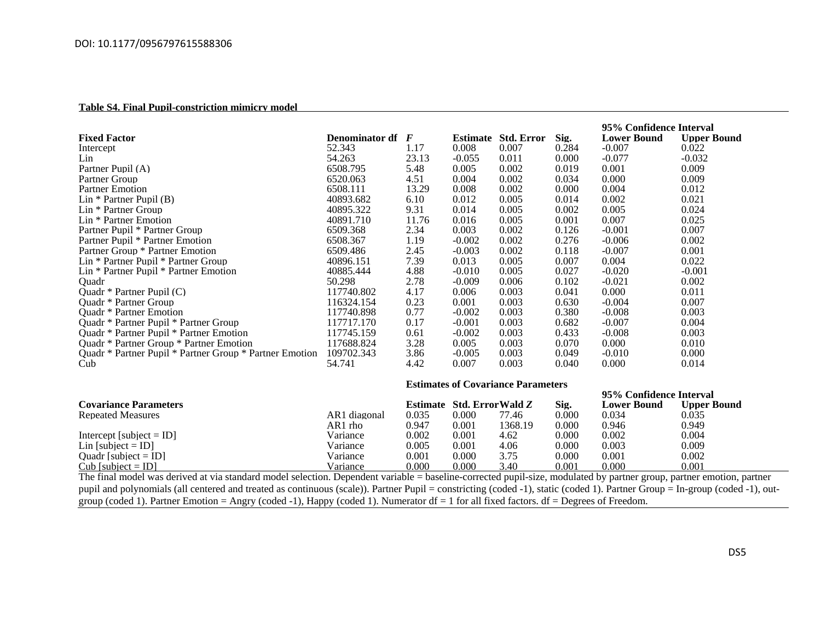#### **Table S4. Final Pupil-constriction mimicry model**

|                                                         |                |                                           |                            |                            |       | 95% Confidence Interval |                    |  |  |
|---------------------------------------------------------|----------------|-------------------------------------------|----------------------------|----------------------------|-------|-------------------------|--------------------|--|--|
| <b>Fixed Factor</b>                                     | Denominator df | F                                         |                            | <b>Estimate Std. Error</b> | Sig.  | <b>Lower Bound</b>      | <b>Upper Bound</b> |  |  |
| Intercept                                               | 52.343         | 1.17                                      | 0.008                      | 0.007                      | 0.284 | $-0.007$                | 0.022              |  |  |
| Lin                                                     | 54.263         | 23.13                                     | $-0.055$                   | 0.011                      | 0.000 | $-0.077$                | $-0.032$           |  |  |
| Partner Pupil (A)                                       | 6508.795       | 5.48                                      | 0.005                      | 0.002                      | 0.019 | 0.001                   | 0.009              |  |  |
| Partner Group                                           | 6520.063       | 4.51                                      | 0.004                      | 0.002                      | 0.034 | 0.000                   | 0.009              |  |  |
| <b>Partner Emotion</b>                                  | 6508.111       | 13.29                                     | 0.008                      | 0.002                      | 0.000 | 0.004                   | 0.012              |  |  |
| $Lin * Partner P$                                       | 40893.682      | 6.10                                      | 0.012                      | 0.005                      | 0.014 | 0.002                   | 0.021              |  |  |
| Lin * Partner Group                                     | 40895.322      | 9.31                                      | 0.014                      | 0.005                      | 0.002 | 0.005                   | 0.024              |  |  |
| Lin * Partner Emotion                                   | 40891.710      | 11.76                                     | 0.016                      | 0.005                      | 0.001 | 0.007                   | 0.025              |  |  |
| Partner Pupil * Partner Group                           | 6509.368       | 2.34                                      | 0.003                      | 0.002                      | 0.126 | $-0.001$                | 0.007              |  |  |
| Partner Pupil * Partner Emotion                         | 6508.367       | 1.19                                      | $-0.002$                   | 0.002                      | 0.276 | $-0.006$                | 0.002              |  |  |
| Partner Group * Partner Emotion                         | 6509.486       | 2.45                                      | $-0.003$                   | 0.002                      | 0.118 | $-0.007$                | 0.001              |  |  |
| Lin * Partner Pupil * Partner Group                     | 40896.151      | 7.39                                      | 0.013                      | 0.005                      | 0.007 | 0.004                   | 0.022              |  |  |
| Lin * Partner Pupil * Partner Emotion                   | 40885.444      | 4.88                                      | $-0.010$                   | 0.005                      | 0.027 | $-0.020$                | $-0.001$           |  |  |
| Ouadr                                                   | 50.298         | 2.78                                      | $-0.009$                   | 0.006                      | 0.102 | $-0.021$                | 0.002              |  |  |
| Ouadr $*$ Partner Pupil $(C)$                           | 117740.802     | 4.17                                      | 0.006                      | 0.003                      | 0.041 | 0.000                   | 0.011              |  |  |
| <b>Ouadr</b> * Partner Group                            | 116324.154     | 0.23                                      | 0.001                      | 0.003                      | 0.630 | $-0.004$                | 0.007              |  |  |
| <b>Ouadr</b> * Partner Emotion                          | 117740.898     | 0.77                                      | $-0.002$                   | 0.003                      | 0.380 | $-0.008$                | 0.003              |  |  |
| Quadr * Partner Pupil * Partner Group                   | 117717.170     | 0.17                                      | $-0.001$                   | 0.003                      | 0.682 | $-0.007$                | 0.004              |  |  |
| Quadr * Partner Pupil * Partner Emotion                 | 117745.159     | 0.61                                      | $-0.002$                   | 0.003                      | 0.433 | $-0.008$                | 0.003              |  |  |
| Ouadr * Partner Group * Partner Emotion                 | 117688.824     | 3.28                                      | 0.005                      | 0.003                      | 0.070 | 0.000                   | 0.010              |  |  |
| Ouadr * Partner Pupil * Partner Group * Partner Emotion | 109702.343     | 3.86                                      | $-0.005$                   | 0.003                      | 0.049 | $-0.010$                | 0.000              |  |  |
| Cub                                                     | 54.741         | 4.42                                      | 0.007                      | 0.003                      | 0.040 | 0.000                   | 0.014              |  |  |
|                                                         |                | <b>Estimates of Covariance Parameters</b> |                            |                            |       |                         |                    |  |  |
|                                                         |                | 95% Confidence Interval                   |                            |                            |       |                         |                    |  |  |
| <b>Covariance Parameters</b>                            |                |                                           | Estimate Std. Error Wald Z |                            | Sig.  | <b>Lower Bound</b>      | <b>Upper Bound</b> |  |  |
| Repeated Measures                                       | AR1 diagonal   | 0.035                                     | 0.000                      | 77.46                      | 0.000 | 0.034                   | 0.035              |  |  |
|                                                         | AR1 rho        | 0.947                                     | 0.001                      | 1368.19                    | 0.000 | 0.946                   | 0.949              |  |  |
| Intercept [subject = ID]                                | Variance       | 0.002                                     | 0.001                      | 4.62                       | 0.000 | 0.002                   | 0.004              |  |  |
| Lin [subject = $ID$ ]                                   | Variance       | 0.005                                     | 0.001                      | 4.06                       | 0.000 | 0.003                   | 0.009              |  |  |
| Ouadr [subject $=$ ID]                                  | Variance       | 0.001                                     | 0.000                      | 3.75                       | 0.000 | 0.001                   | 0.002              |  |  |
| Cub [subject = ID]                                      | Variance       | 0.000                                     | 0.000                      | 3.40                       | 0.001 | 0.000                   | 0.001              |  |  |

 $\text{Cub}$  [subject = ID]  $\text{Variance}$   $\text{0.000}$   $\text{0.000}$   $\text{0.001}$   $\text{0.000}$   $\text{0.000}$   $\text{0.001}$   $\text{0.000}$   $\text{0.001}$ The final model was derived at via standard model selection. Dependent variable = baseline-corrected pupil-size, modulated by partner group, partner emotion, partner pupil and polynomials (all centered and treated as continuous (scale)). Partner Pupil = constricting (coded -1), static (coded 1). Partner Group = In-group (coded -1), outgroup (coded 1). Partner Emotion = Angry (coded -1), Happy (coded 1). Numerator df = 1 for all fixed factors. df = Degrees of Freedom.